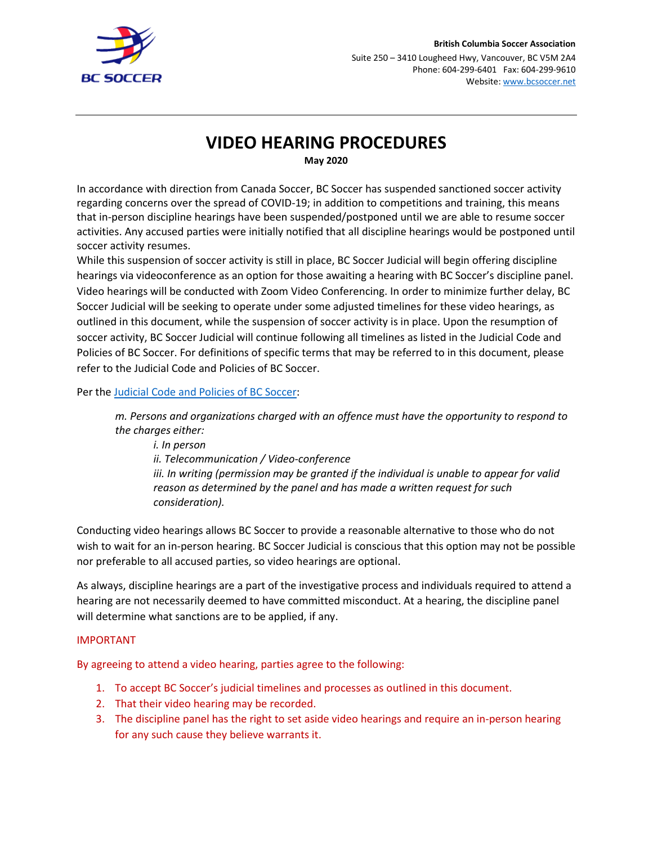

# **VIDEO HEARING PROCEDURES**

**May 2020**

In accordance with direction from Canada Soccer, BC Soccer has suspended sanctioned soccer activity regarding concerns over the spread of COVID-19; in addition to competitions and training, this means that in-person discipline hearings have been suspended/postponed until we are able to resume soccer activities. Any accused parties were initially notified that all discipline hearings would be postponed until soccer activity resumes.

While this suspension of soccer activity is still in place, BC Soccer Judicial will begin offering discipline hearings via videoconference as an option for those awaiting a hearing with BC Soccer's discipline panel. Video hearings will be conducted with Zoom Video Conferencing. In order to minimize further delay, BC Soccer Judicial will be seeking to operate under some adjusted timelines for these video hearings, as outlined in this document, while the suspension of soccer activity is in place. Upon the resumption of soccer activity, BC Soccer Judicial will continue following all timelines as listed in the Judicial Code and Policies of BC Soccer. For definitions of specific terms that may be referred to in this document, please refer to the Judicial Code and Policies of BC Soccer.

Per the [Judicial Code and Policies of BC Soccer:](https://bcsoccer.net/files/AboutUs/BylawsRulesRegsPolicies/judicial_code_and_policies_of_bc_soccer_20200202.pdf)

*m. Persons and organizations charged with an offence must have the opportunity to respond to the charges either:* 

*i. In person ii. Telecommunication / Video-conference iii. In writing (permission may be granted if the individual is unable to appear for valid reason as determined by the panel and has made a written request for such consideration).*

Conducting video hearings allows BC Soccer to provide a reasonable alternative to those who do not wish to wait for an in-person hearing. BC Soccer Judicial is conscious that this option may not be possible nor preferable to all accused parties, so video hearings are optional.

As always, discipline hearings are a part of the investigative process and individuals required to attend a hearing are not necessarily deemed to have committed misconduct. At a hearing, the discipline panel will determine what sanctions are to be applied, if any.

## IMPORTANT

By agreeing to attend a video hearing, parties agree to the following:

- 1. To accept BC Soccer's judicial timelines and processes as outlined in this document.
- 2. That their video hearing may be recorded.
- 3. The discipline panel has the right to set aside video hearings and require an in-person hearing for any such cause they believe warrants it.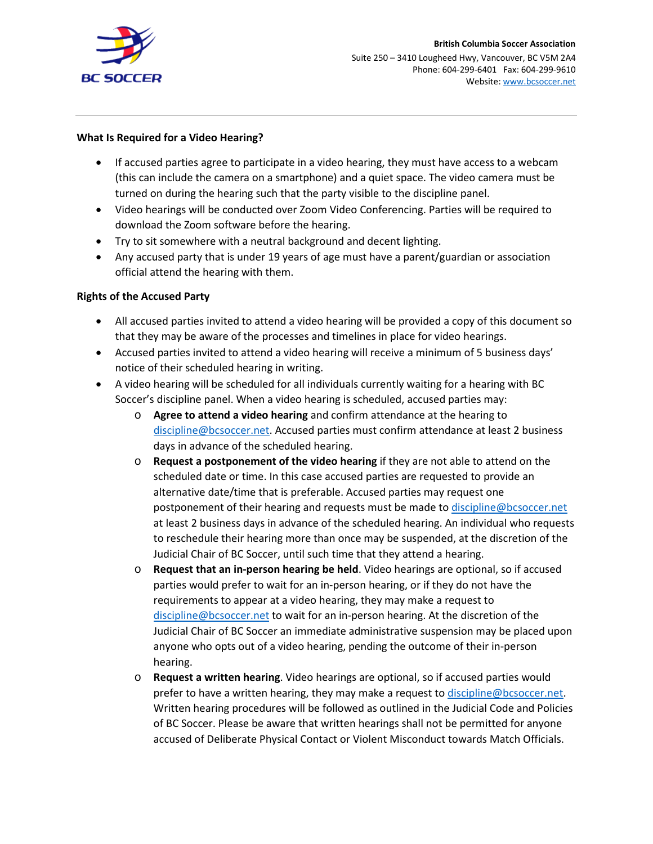

#### **What Is Required for a Video Hearing?**

- If accused parties agree to participate in a video hearing, they must have access to a webcam (this can include the camera on a smartphone) and a quiet space. The video camera must be turned on during the hearing such that the party visible to the discipline panel.
- Video hearings will be conducted over Zoom Video Conferencing. Parties will be required to download the Zoom software before the hearing.
- Try to sit somewhere with a neutral background and decent lighting.
- Any accused party that is under 19 years of age must have a parent/guardian or association official attend the hearing with them.

### **Rights of the Accused Party**

- All accused parties invited to attend a video hearing will be provided a copy of this document so that they may be aware of the processes and timelines in place for video hearings.
- Accused parties invited to attend a video hearing will receive a minimum of 5 business days' notice of their scheduled hearing in writing.
- A video hearing will be scheduled for all individuals currently waiting for a hearing with BC Soccer's discipline panel. When a video hearing is scheduled, accused parties may:
	- o **Agree to attend a video hearing** and confirm attendance at the hearing to [discipline@bcsoccer.net.](mailto:discipline@bcsoccer.net) Accused parties must confirm attendance at least 2 business days in advance of the scheduled hearing.
	- o **Request a postponement of the video hearing** if they are not able to attend on the scheduled date or time. In this case accused parties are requested to provide an alternative date/time that is preferable. Accused parties may request one postponement of their hearing and requests must be made to [discipline@bcsoccer.net](mailto:discipline@bcsoccer.net) at least 2 business days in advance of the scheduled hearing. An individual who requests to reschedule their hearing more than once may be suspended, at the discretion of the Judicial Chair of BC Soccer, until such time that they attend a hearing.
	- o **Request that an in-person hearing be held**. Video hearings are optional, so if accused parties would prefer to wait for an in-person hearing, or if they do not have the requirements to appear at a video hearing, they may make a request to [discipline@bcsoccer.net](mailto:discipline@bcsoccer.net) to wait for an in-person hearing. At the discretion of the Judicial Chair of BC Soccer an immediate administrative suspension may be placed upon anyone who opts out of a video hearing, pending the outcome of their in-person hearing.
	- o **Request a written hearing**. Video hearings are optional, so if accused parties would prefer to have a written hearing, they may make a request to [discipline@bcsoccer.net.](mailto:discipline@bcsoccer.net) Written hearing procedures will be followed as outlined in the Judicial Code and Policies of BC Soccer. Please be aware that written hearings shall not be permitted for anyone accused of Deliberate Physical Contact or Violent Misconduct towards Match Officials.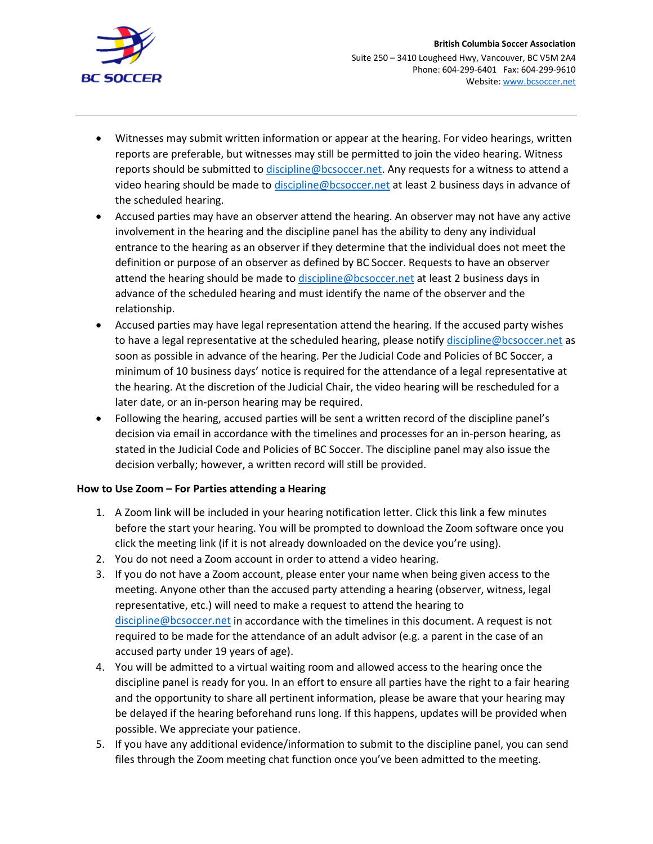

- Witnesses may submit written information or appear at the hearing. For video hearings, written reports are preferable, but witnesses may still be permitted to join the video hearing. Witness reports should be submitted to [discipline@bcsoccer.net.](mailto:discipline@bcsoccer.net) Any requests for a witness to attend a video hearing should be made to [discipline@bcsoccer.net](mailto:discipline@bcsoccer.net) at least 2 business days in advance of the scheduled hearing.
- Accused parties may have an observer attend the hearing. An observer may not have any active involvement in the hearing and the discipline panel has the ability to deny any individual entrance to the hearing as an observer if they determine that the individual does not meet the definition or purpose of an observer as defined by BC Soccer. Requests to have an observer attend the hearing should be made to [discipline@bcsoccer.net](mailto:discipline@bcsoccer.net) at least 2 business days in advance of the scheduled hearing and must identify the name of the observer and the relationship.
- Accused parties may have legal representation attend the hearing. If the accused party wishes to have a legal representative at the scheduled hearing, please notify [discipline@bcsoccer.net](mailto:discipline@bcsoccer.net) as soon as possible in advance of the hearing. Per the Judicial Code and Policies of BC Soccer, a minimum of 10 business days' notice is required for the attendance of a legal representative at the hearing. At the discretion of the Judicial Chair, the video hearing will be rescheduled for a later date, or an in-person hearing may be required.
- Following the hearing, accused parties will be sent a written record of the discipline panel's decision via email in accordance with the timelines and processes for an in-person hearing, as stated in the Judicial Code and Policies of BC Soccer. The discipline panel may also issue the decision verbally; however, a written record will still be provided.

### **How to Use Zoom – For Parties attending a Hearing**

- 1. A Zoom link will be included in your hearing notification letter. Click this link a few minutes before the start your hearing. You will be prompted to download the Zoom software once you click the meeting link (if it is not already downloaded on the device you're using).
- 2. You do not need a Zoom account in order to attend a video hearing.
- 3. If you do not have a Zoom account, please enter your name when being given access to the meeting. Anyone other than the accused party attending a hearing (observer, witness, legal representative, etc.) will need to make a request to attend the hearing to [discipline@bcsoccer.net](mailto:discipline@bcsoccer.net) in accordance with the timelines in this document. A request is not required to be made for the attendance of an adult advisor (e.g. a parent in the case of an accused party under 19 years of age).
- 4. You will be admitted to a virtual waiting room and allowed access to the hearing once the discipline panel is ready for you. In an effort to ensure all parties have the right to a fair hearing and the opportunity to share all pertinent information, please be aware that your hearing may be delayed if the hearing beforehand runs long. If this happens, updates will be provided when possible. We appreciate your patience.
- 5. If you have any additional evidence/information to submit to the discipline panel, you can send files through the Zoom meeting chat function once you've been admitted to the meeting.